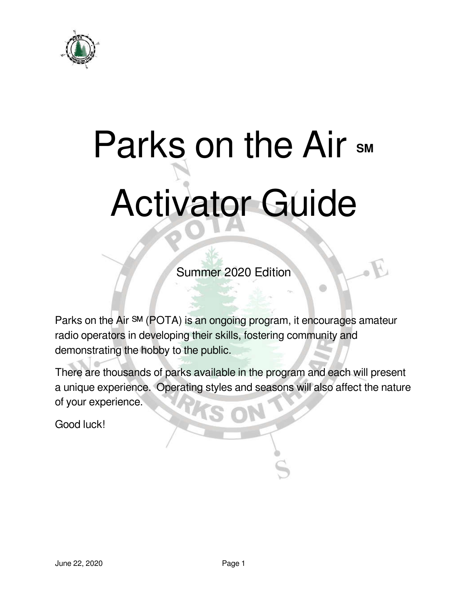

# Parks on the Air sm Activator Guide

Summer 2020 Edition

ŵ

Parks on the Air SM (POTA) is an ongoing program, it encourages amateur radio operators in developing their skills, fostering community and demonstrating the hobby to the public.

There are thousands of parks available in the program and each will present a unique experience. Operating styles and seasons will also affect the nature of your experience.

Good luck!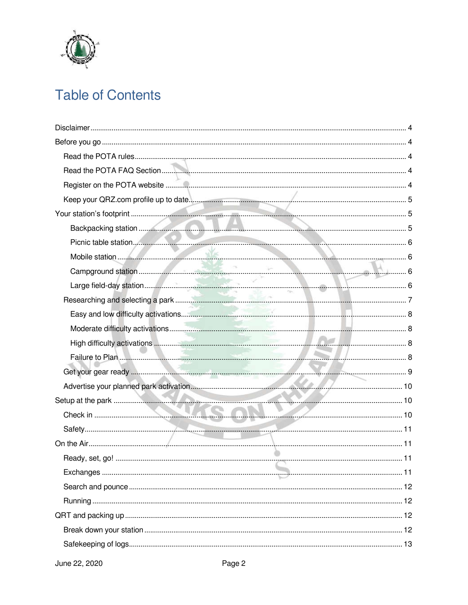

# **Table of Contents**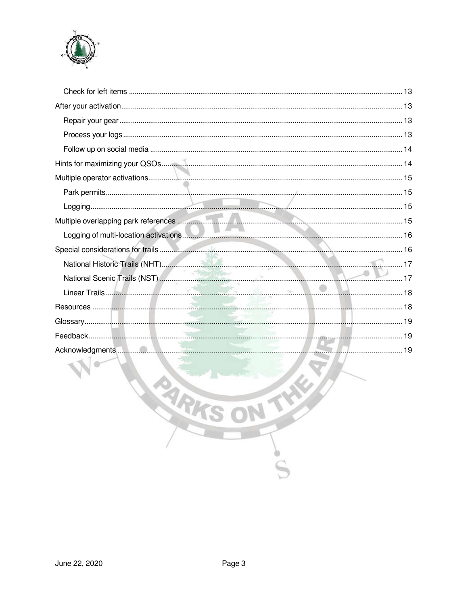

| Acknowledgments <b>Material Contract Contract Contract Contract Contract Contract Contract Contract Contract Contract Contract Contract Contract Contract Contract Contract Contract Contract Contract Contract Contract Contrac</b> |  |
|--------------------------------------------------------------------------------------------------------------------------------------------------------------------------------------------------------------------------------------|--|
|                                                                                                                                                                                                                                      |  |
|                                                                                                                                                                                                                                      |  |
|                                                                                                                                                                                                                                      |  |
| <b>RARKS</b><br>THE                                                                                                                                                                                                                  |  |
|                                                                                                                                                                                                                                      |  |
|                                                                                                                                                                                                                                      |  |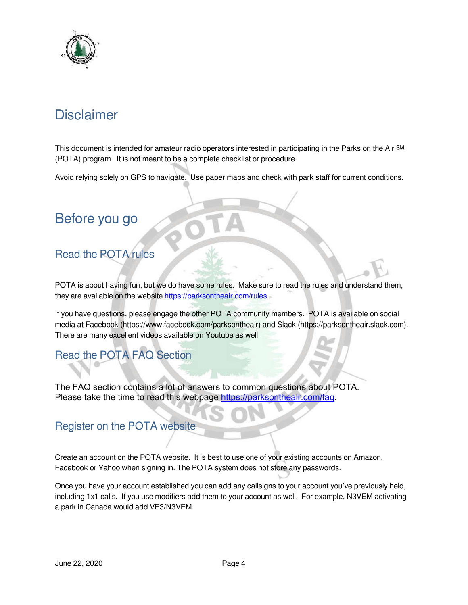

# **Disclaimer**

This document is intended for amateur radio operators interested in participating in the Parks on the Air <sup>SM</sup> (POTA) program. It is not meant to be a complete checklist or procedure.

Avoid relying solely on GPS to navigate. Use paper maps and check with park staff for current conditions.

## Before you go

## Read the POTA rules

POTA is about having fun, but we do have some rules. Make sure to read the rules and understand them, they are available on the website https://parksontheair.com/rules.

If you have questions, please engage the other POTA community members. POTA is available on social media at Facebook (https://www.facebook.com/parksontheair) and Slack (https://parksontheair.slack.com). There are many excellent videos available on Youtube as well.

## Read the POTA FAQ Section

The FAQ section contains a lot of answers to common questions about POTA. Please take the time to read this webpage https://parksontheair.com/faq.

#### Register on the POTA website

Create an account on the POTA website. It is best to use one of your existing accounts on Amazon, Facebook or Yahoo when signing in. The POTA system does not store any passwords.

Once you have your account established you can add any callsigns to your account you've previously held, including 1x1 calls. If you use modifiers add them to your account as well. For example, N3VEM activating a park in Canada would add VE3/N3VEM.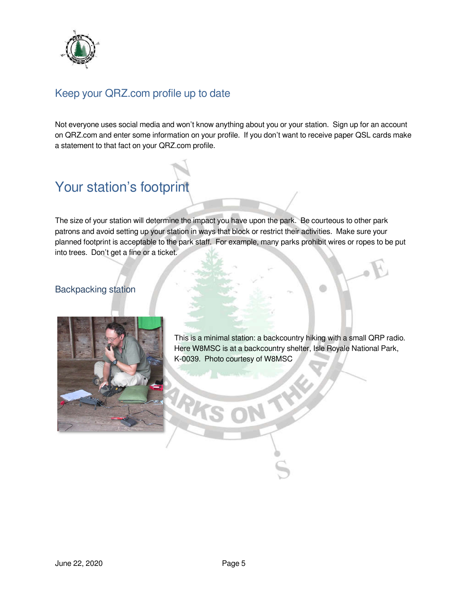

## Keep your QRZ.com profile up to date

Not everyone uses social media and won't know anything about you or your station. Sign up for an account on QRZ.com and enter some information on your profile. If you don't want to receive paper QSL cards make a statement to that fact on your QRZ.com profile.

# Your station's footprint

The size of your station will determine the impact you have upon the park. Be courteous to other park patrons and avoid setting up your station in ways that block or restrict their activities. Make sure your planned footprint is acceptable to the park staff. For example, many parks prohibit wires or ropes to be put into trees. Don't get a fine or a ticket.

#### Backpacking station



This is a minimal station: a backcountry hiking with a small QRP radio. Here W8MSC is at a backcountry shelter, Isle Royale National Park, K-0039. Photo courtesy of W8MSC

不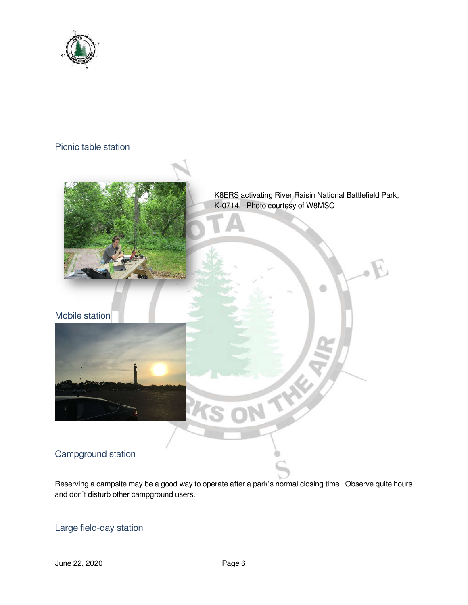

#### Picnic table station



K8ERS activating River Raisin National Battlefield Park, K-0714. Photo courtesy of W8MSC

THE P

#### Mobile station



## Campground station

Reserving a campsite may be a good way to operate after a park's normal closing time. Observe quite hours and don't disturb other campground users.

 $\mathbb{Z}$ 

#### Large field-day station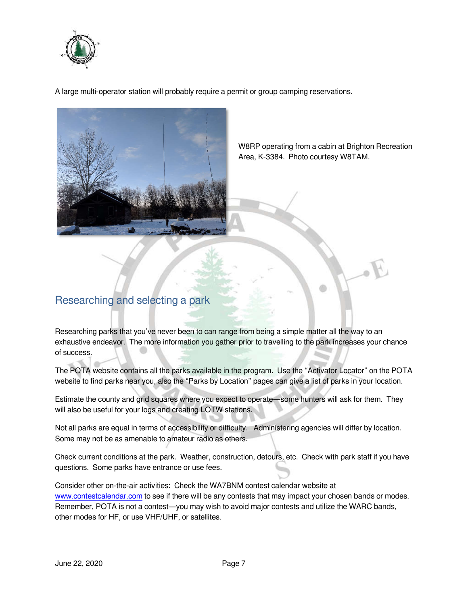

A large multi-operator station will probably require a permit or group camping reservations.



W8RP operating from a cabin at Brighton Recreation Area, K-3384. Photo courtesy W8TAM.

## Researching and selecting a park

Researching parks that you've never been to can range from being a simple matter all the way to an exhaustive endeavor. The more information you gather prior to travelling to the park increases your chance of success.

The POTA website contains all the parks available in the program. Use the "Activator Locator" on the POTA website to find parks near you, also the "Parks by Location" pages can give a list of parks in your location.

Estimate the county and grid squares where you expect to operate—some hunters will ask for them. They will also be useful for your logs and creating LOTW stations.

Not all parks are equal in terms of accessibility or difficulty. Administering agencies will differ by location. Some may not be as amenable to amateur radio as others.

Check current conditions at the park. Weather, construction, detours, etc. Check with park staff if you have questions. Some parks have entrance or use fees.

Consider other on-the-air activities: Check the WA7BNM contest calendar website at www.contestcalendar.com to see if there will be any contests that may impact your chosen bands or modes. Remember, POTA is not a contest—you may wish to avoid major contests and utilize the WARC bands, other modes for HF, or use VHF/UHF, or satellites.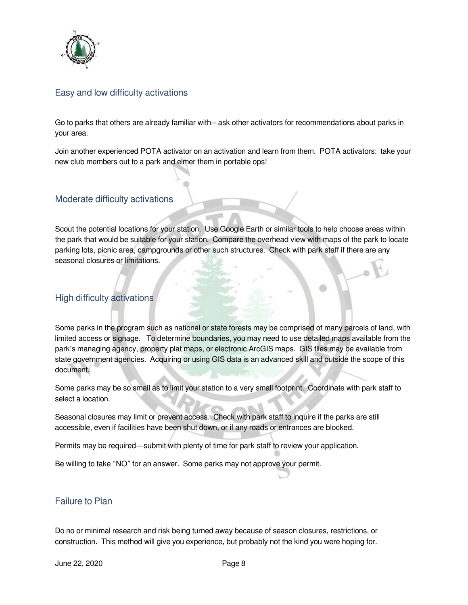

#### Easy and low difficulty activations

Go to parks that others are already familiar with-- ask other activators for recommendations about parks in your area.

Join another experienced POTA activator on an activation and learn from them. POTA activators: take your new club members out to a park and elmer them in portable ops!

#### Moderate difficulty activations

Scout the potential locations for your station. Use Google Earth or similar tools to help choose areas within the park that would be suitable for your station. Compare the overhead view with maps of the park to locate parking lots, picnic area, campgrounds or other such structures. Check with park staff if there are any seasonal closures or limitations.

#### High difficulty activations

Some parks in the program such as national or state forests may be comprised of many parcels of land, with limited access or signage. To determine boundaries, you may need to use detailed maps available from the park's managing agency, property plat maps, or electronic ArcGIS maps. GIS files may be available from state government agencies. Acquiring or using GIS data is an advanced skill and outside the scope of this document.

Some parks may be so small as to limit your station to a very small footprint. Coordinate with park staff to select a location.

Seasonal closures may limit or prevent access. Check with park staff to inquire if the parks are still accessible, even if facilities have been shut down, or if any roads or entrances are blocked.

Permits may be required—submit with plenty of time for park staff to review your application.

Be willing to take "NO" for an answer. Some parks may not approve your permit.

#### Failure to Plan

Do no or minimal research and risk being turned away because of season closures, restrictions, or construction. This method will give you experience, but probably not the kind you were hoping for.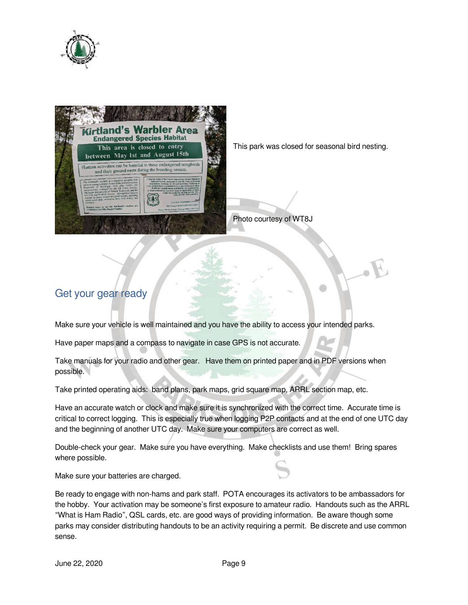



This park was closed for seasonal bird nesting.

Photo courtesy of WT8J

## Get your gear ready

Make sure your vehicle is well maintained and you have the ability to access your intended parks.

Have paper maps and a compass to navigate in case GPS is not accurate.

Take manuals for your radio and other gear. Have them on printed paper and in PDF versions when possible.

Take printed operating aids: band plans, park maps, grid square map, ARRL section map, etc.

Have an accurate watch or clock and make sure it is synchronized with the correct time. Accurate time is critical to correct logging. This is especially true when logging P2P contacts and at the end of one UTC day and the beginning of another UTC day. Make sure your computers are correct as well.

Double-check your gear. Make sure you have everything. Make checklists and use them! Bring spares where possible.

Make sure your batteries are charged.

Be ready to engage with non-hams and park staff. POTA encourages its activators to be ambassadors for the hobby. Your activation may be someone's first exposure to amateur radio. Handouts such as the ARRL "What is Ham Radio", QSL cards, etc. are good ways of providing information. Be aware though some parks may consider distributing handouts to be an activity requiring a permit. Be discrete and use common sense.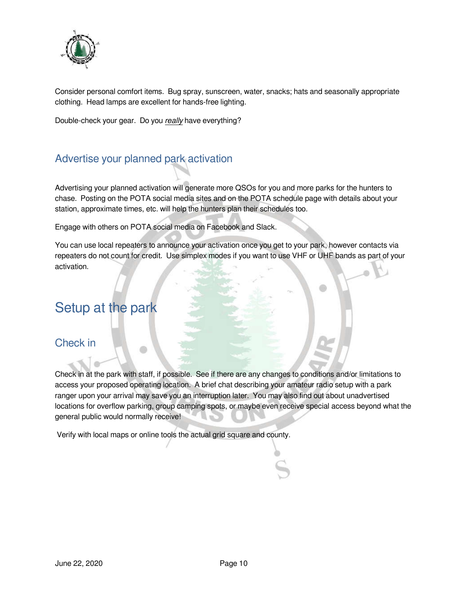

Consider personal comfort items. Bug spray, sunscreen, water, snacks; hats and seasonally appropriate clothing. Head lamps are excellent for hands-free lighting.

Double-check your gear. Do you *really* have everything?

## Advertise your planned park activation

Advertising your planned activation will generate more QSOs for you and more parks for the hunters to chase. Posting on the POTA social media sites and on the POTA schedule page with details about your station, approximate times, etc. will help the hunters plan their schedules too.

Engage with others on POTA social media on Facebook and Slack.

You can use local repeaters to announce your activation once you get to your park, however contacts via repeaters do not count for credit. Use simplex modes if you want to use VHF or UHF bands as part of your activation.

## Setup at the park

#### Check in

Check in at the park with staff, if possible. See if there are any changes to conditions and/or limitations to access your proposed operating location. A brief chat describing your amateur radio setup with a park ranger upon your arrival may save you an interruption later. You may also find out about unadvertised locations for overflow parking, group camping spots, or maybe even receive special access beyond what the general public would normally receive!

Verify with local maps or online tools the actual grid square and county.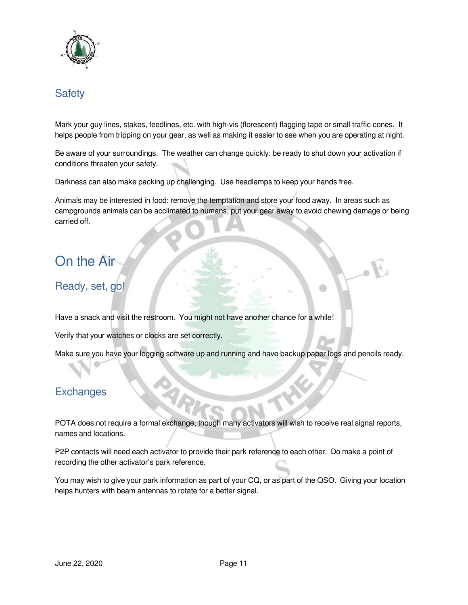

#### **Safety**

Mark your guy lines, stakes, feedlines, etc. with high-vis (florescent) flagging tape or small traffic cones. It helps people from tripping on your gear, as well as making it easier to see when you are operating at night.

Be aware of your surroundings. The weather can change quickly: be ready to shut down your activation if conditions threaten your safety.

Darkness can also make packing up challenging. Use headlamps to keep your hands free.

Animals may be interested in food: remove the temptation and store your food away. In areas such as campgrounds animals can be acclimated to humans, put your gear away to avoid chewing damage or being carried off.

# On the Air

#### Ready, set, go!

Have a snack and visit the restroom. You might not have another chance for a while!

Verify that your watches or clocks are set correctly.

Make sure you have your logging software up and running and have backup paper logs and pencils ready.

#### **Exchanges**

POTA does not require a formal exchange, though many activators will wish to receive real signal reports, names and locations.

P2P contacts will need each activator to provide their park reference to each other. Do make a point of recording the other activator's park reference.

You may wish to give your park information as part of your CQ, or as part of the QSO. Giving your location helps hunters with beam antennas to rotate for a better signal.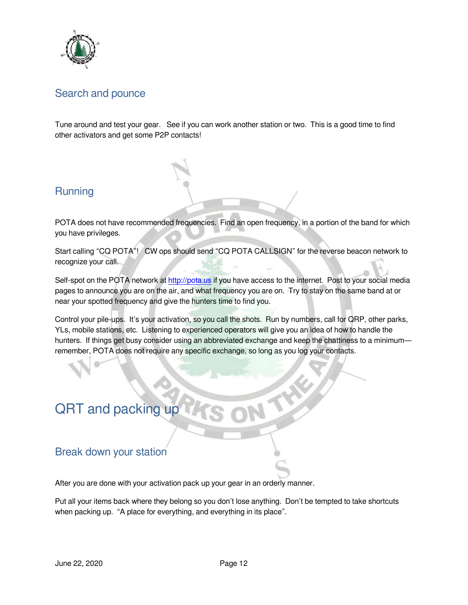

#### Search and pounce

Tune around and test your gear. See if you can work another station or two. This is a good time to find other activators and get some P2P contacts!

#### **Running**

POTA does not have recommended frequencies. Find an open frequency, in a portion of the band for which you have privileges.

Start calling "CQ POTA"! CW ops should send "CQ POTA CALLSIGN" for the reverse beacon network to recognize your call.

Self-spot on the POTA network at http://pota.us if you have access to the internet. Post to your social media pages to announce you are on the air, and what frequency you are on. Try to stay on the same band at or near your spotted frequency and give the hunters time to find you.

Control your pile-ups. It's your activation, so you call the shots. Run by numbers, call for QRP, other parks, YLs, mobile stations, etc. Listening to experienced operators will give you an idea of how to handle the hunters. If things get busy consider using an abbreviated exchange and keep the chattiness to a minimum remember, POTA does not require any specific exchange, so long as you log your contacts.

# QRT and packing up

#### Break down your station

After you are done with your activation pack up your gear in an orderly manner.

Put all your items back where they belong so you don't lose anything. Don't be tempted to take shortcuts when packing up. "A place for everything, and everything in its place".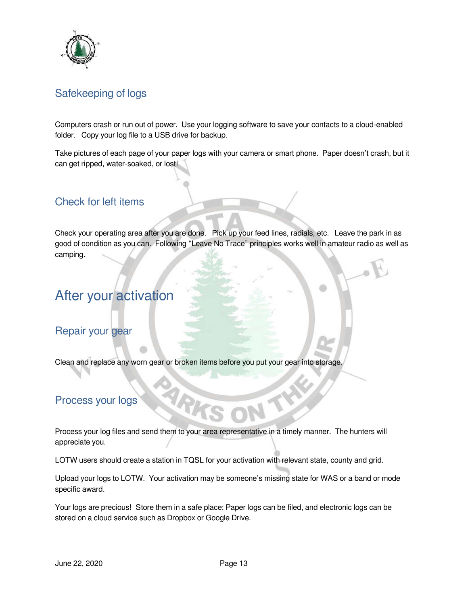

### Safekeeping of logs

Computers crash or run out of power. Use your logging software to save your contacts to a cloud-enabled folder. Copy your log file to a USB drive for backup.

Take pictures of each page of your paper logs with your camera or smart phone. Paper doesn't crash, but it can get ripped, water-soaked, or lost!

#### Check for left items

Check your operating area after you are done. Pick up your feed lines, radials, etc. Leave the park in as good of condition as you can. Following "Leave No Trace" principles works well in amateur radio as well as camping.

## After your activation

#### Repair your gear

Clean and replace any worn gear or broken items before you put your gear into storage.

#### Process your logs

Process your log files and send them to your area representative in a timely manner. The hunters will appreciate you.

LOTW users should create a station in TQSL for your activation with relevant state, county and grid.

Upload your logs to LOTW. Your activation may be someone's missing state for WAS or a band or mode specific award.

Your logs are precious! Store them in a safe place: Paper logs can be filed, and electronic logs can be stored on a cloud service such as Dropbox or Google Drive.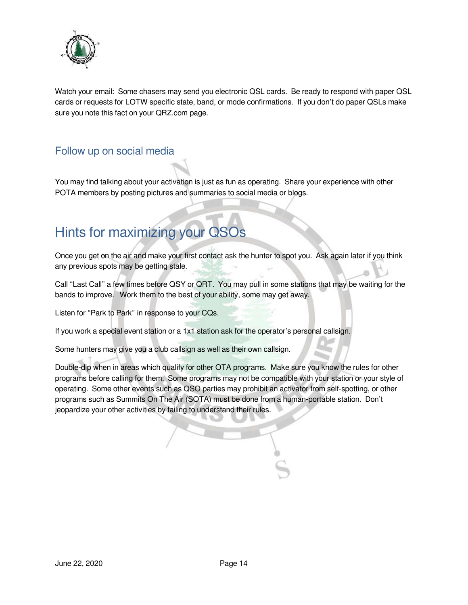

Watch your email: Some chasers may send you electronic QSL cards. Be ready to respond with paper QSL cards or requests for LOTW specific state, band, or mode confirmations. If you don't do paper QSLs make sure you note this fact on your QRZ.com page.

### Follow up on social media

You may find talking about your activation is just as fun as operating. Share your experience with other POTA members by posting pictures and summaries to social media or blogs.

# Hints for maximizing your QSOs

Once you get on the air and make your first contact ask the hunter to spot you. Ask again later if you think any previous spots may be getting stale.

Call "Last Call" a few times before QSY or QRT. You may pull in some stations that may be waiting for the bands to improve. Work them to the best of your ability, some may get away.

Listen for "Park to Park" in response to your CQs.

If you work a special event station or a 1x1 station ask for the operator's personal callsign.

Some hunters may give you a club callsign as well as their own callsign.

Double-dip when in areas which qualify for other OTA programs. Make sure you know the rules for other programs before calling for them. Some programs may not be compatible with your station or your style of operating. Some other events such as QSO parties may prohibit an activator from self-spotting, or other programs such as Summits On The Air (SOTA) must be done from a human-portable station. Don't jeopardize your other activities by failing to understand their rules.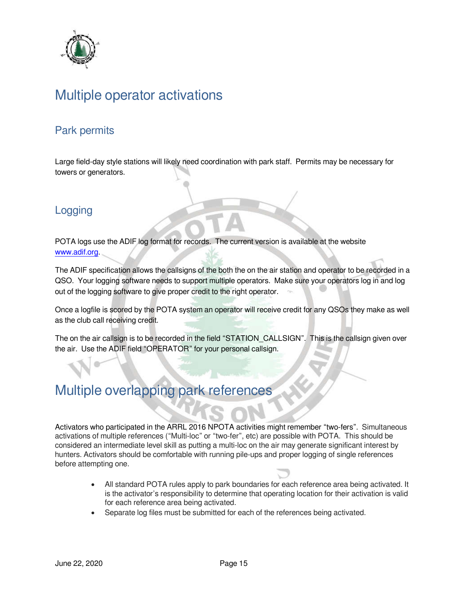

# Multiple operator activations

#### Park permits

Large field-day style stations will likely need coordination with park staff. Permits may be necessary for towers or generators.

#### Logging

POTA logs use the ADIF log format for records. The current version is available at the website www.adif.org.

The ADIF specification allows the callsigns of the both the on the air station and operator to be recorded in a QSO. Your logging software needs to support multiple operators. Make sure your operators log in and log out of the logging software to give proper credit to the right operator.

Once a logfile is scored by the POTA system an operator will receive credit for any QSOs they make as well as the club call receiving credit.

The on the air callsign is to be recorded in the field "STATION\_CALLSIGN". This is the callsign given over the air. Use the ADIF field "OPERATOR" for your personal callsign.

## Multiple overlapping park references

Activators who participated in the ARRL 2016 NPOTA activities might remember "two-fers". Simultaneous activations of multiple references ("Multi-loc" or "two-fer", etc) are possible with POTA. This should be considered an intermediate level skill as putting a multi-loc on the air may generate significant interest by hunters. Activators should be comfortable with running pile-ups and proper logging of single references before attempting one.

- All standard POTA rules apply to park boundaries for each reference area being activated. It is the activator's responsibility to determine that operating location for their activation is valid for each reference area being activated.
- Separate log files must be submitted for each of the references being activated.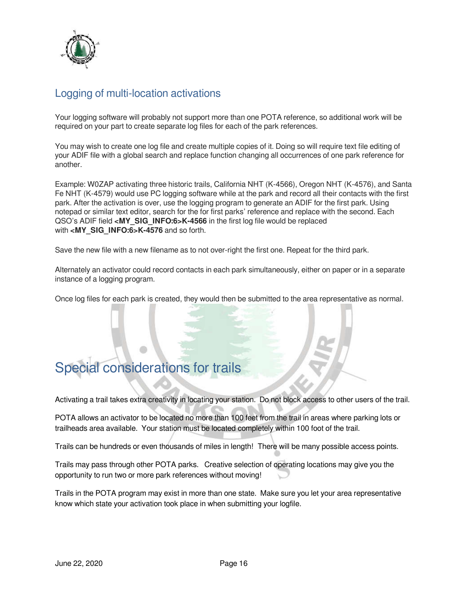

## Logging of multi-location activations

Your logging software will probably not support more than one POTA reference, so additional work will be required on your part to create separate log files for each of the park references.

You may wish to create one log file and create multiple copies of it. Doing so will require text file editing of your ADIF file with a global search and replace function changing all occurrences of one park reference for another.

Example: W0ZAP activating three historic trails, California NHT (K-4566), Oregon NHT (K-4576), and Santa Fe NHT (K-4579) would use PC logging software while at the park and record all their contacts with the first park. After the activation is over, use the logging program to generate an ADIF for the first park. Using notepad or similar text editor, search for the for first parks' reference and replace with the second. Each QSO's ADIF field **<MY\_SIG\_INFO:6>K-4566** in the first log file would be replaced with <MY\_SIG\_INFO:6>K-4576 and so forth.

Save the new file with a new filename as to not over-right the first one. Repeat for the third park.

Alternately an activator could record contacts in each park simultaneously, either on paper or in a separate instance of a logging program.

Once log files for each park is created, they would then be submitted to the area representative as normal.

# Special considerations for trails

Activating a trail takes extra creativity in locating your station. Do not block access to other users of the trail.

POTA allows an activator to be located no more than 100 feet from the trail in areas where parking lots or trailheads area available. Your station must be located completely within 100 foot of the trail.

Trails can be hundreds or even thousands of miles in length! There will be many possible access points.

Trails may pass through other POTA parks. Creative selection of operating locations may give you the opportunity to run two or more park references without moving!

Trails in the POTA program may exist in more than one state. Make sure you let your area representative know which state your activation took place in when submitting your logfile.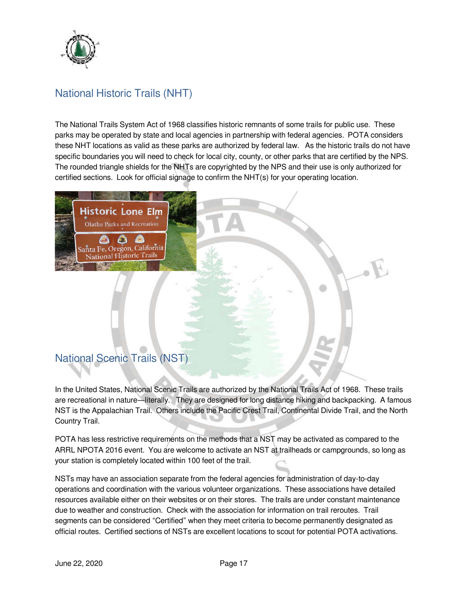

## National Historic Trails (NHT)

The National Trails System Act of 1968 classifies historic remnants of some trails for public use. These parks may be operated by state and local agencies in partnership with federal agencies. POTA considers these NHT locations as valid as these parks are authorized by federal law. As the historic trails do not have specific boundaries you will need to check for local city, county, or other parks that are certified by the NPS. The rounded triangle shields for the NHTs are copyrighted by the NPS and their use is only authorized for certified sections. Look for official signage to confirm the NHT(s) for your operating location.



## National Scenic Trails (NST)

In the United States, National Scenic Trails are authorized by the National Trails Act of 1968. These trails are recreational in nature—literally. They are designed for long distance hiking and backpacking. A famous NST is the Appalachian Trail. Others include the Pacific Crest Trail, Continental Divide Trail, and the North Country Trail.

POTA has less restrictive requirements on the methods that a NST may be activated as compared to the ARRL NPOTA 2016 event. You are welcome to activate an NST at trailheads or campgrounds, so long as your station is completely located within 100 feet of the trail.

NSTs may have an association separate from the federal agencies for administration of day-to-day operations and coordination with the various volunteer organizations. These associations have detailed resources available either on their websites or on their stores. The trails are under constant maintenance due to weather and construction. Check with the association for information on trail reroutes. Trail segments can be considered "Certified" when they meet criteria to become permanently designated as official routes. Certified sections of NSTs are excellent locations to scout for potential POTA activations.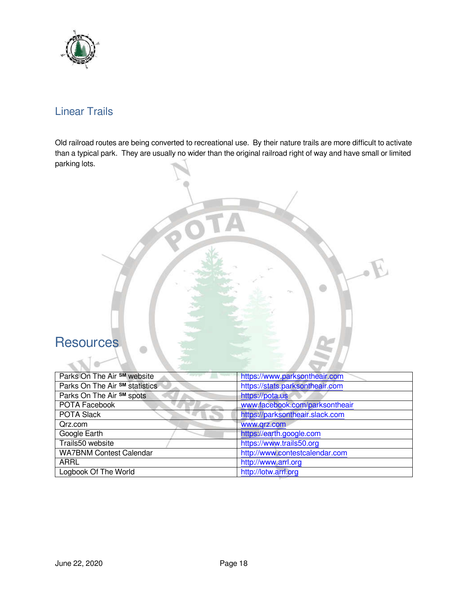

## Linear Trails

Old railroad routes are being converted to recreational use. By their nature trails are more difficult to activate than a typical park. They are usually no wider than the original railroad right of way and have small or limited parking lots.

## **Resources**

| Parks On The Air SM website    | https://www.parksontheair.com   |
|--------------------------------|---------------------------------|
| Parks On The Air SM statistics | https://stats.parksontheair.com |
| Parks On The Air SM spots      | https://pota.us                 |
| POTA Facebook                  | www.facebook.com/parksontheair  |
| <b>POTA Slack</b>              | https://parksontheair.slack.com |
| Qrz.com                        | www.qrz.com                     |
| Google Earth                   | https://earth.google.com        |
| Trails50 website               | https://www.trails50.org        |
| <b>WA7BNM Contest Calendar</b> | http://www.contestcalendar.com  |
| <b>ARRL</b>                    | http://www.arrl.org             |
| Logbook Of The World           | http://lotw.arrl.org            |